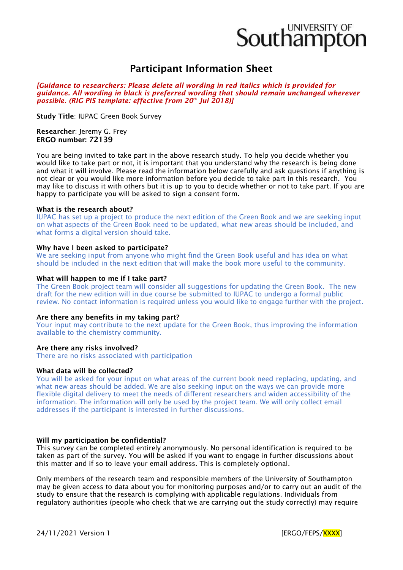# Southampton

# Participant Information Sheet

*[Guidance to researchers: Please delete all wording in red italics which is provided for guidance. All wording in black is preferred wording that should remain unchanged wherever possible. (RIG PIS template: effective from 20th Jul 2018)]*

Study Title: IUPAC Green Book Survey

Researcher: Jeremy G. Frey ERGO number: 72139

You are being invited to take part in the above research study. To help you decide whether you would like to take part or not, it is important that you understand why the research is being done and what it will involve. Please read the information below carefully and ask questions if anything is not clear or you would like more information before you decide to take part in this research. You may like to discuss it with others but it is up to you to decide whether or not to take part. If you are happy to participate you will be asked to sign a consent form.

## What is the research about?

IUPAC has set up a project to produce the next edition of the Green Book and we are seeking input on what aspects of the Green Book need to be updated, what new areas should be included, and what forms a digital version should take.

## Why have I been asked to participate?

We are seeking input from anyone who might find the Green Book useful and has idea on what should be included in the next edition that will make the book more useful to the community.

## What will happen to me if I take part?

The Green Book project team will consider all suggestions for updating the Green Book. The new draft for the new edition will in due course be submitted to IUPAC to undergo a formal public review. No contact information is required unless you would like to engage further with the project.

#### Are there any benefits in my taking part?

Your input may contribute to the next update for the Green Book, thus improving the information available to the chemistry community.

# Are there any risks involved?

There are no risks associated with participation

#### What data will be collected?

You will be asked for your input on what areas of the current book need replacing, updating, and what new areas should be added. We are also seeking input on the ways we can provide more flexible digital delivery to meet the needs of different researchers and widen accessibility of the information. The information will only be used by the project team. We will only collect email addresses if the participant is interested in further discussions.

#### Will my participation be confidential?

This survey can be completed entirely anonymously. No personal identification is required to be taken as part of the survey. You will be asked if you want to engage in further discussions about this matter and if so to leave your email address. This is completely optional.

Only members of the research team and responsible members of the University of Southampton may be given access to data about you for monitoring purposes and/or to carry out an audit of the study to ensure that the research is complying with applicable regulations. Individuals from regulatory authorities (people who check that we are carrying out the study correctly) may require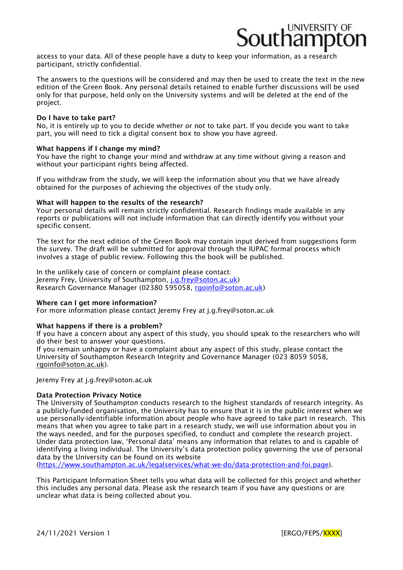access to your data. All of these people have a duty to keep your information, as a research participant, strictly confidential.

The answers to the questions will be considered and may then be used to create the text in the new edition of the Green Book. Any personal details retained to enable further discussions will be used only for that purpose, held only on the University systems and will be deleted at the end of the project.

#### Do I have to take part?

No, it is entirely up to you to decide whether or not to take part. If you decide you want to take part, you will need to tick a digital consent box to show you have agreed.

#### What happens if I change my mind?

You have the right to change your mind and withdraw at any time without giving a reason and without your participant rights being affected.

If you withdraw from the study, we will keep the information about you that we have already obtained for the purposes of achieving the objectives of the study only.

#### What will happen to the results of the research?

Your personal details will remain strictly confidential. Research findings made available in any reports or publications will not include information that can directly identify you without your specific consent.

The text for the next edition of the Green Book may contain input derived from suggestions form the survey. The draft will be submitted for approval through the IUPAC formal process which involves a stage of public review. Following this the book will be published.

In the unlikely case of concern or complaint please contact: Jeremy Frey, University of Southampton, [j.g.frey@soton.ac.uk\)](mailto:j.g.frey@soton.ac.uk) Research Governance Manager (02380 595058, [rgoinfo@soton.ac.uk\)](mailto:rgoinfo@soton.ac.uk)

#### Where can I get more information?

For more information please contact Jeremy Frey at [j.g.frey@soton.ac.uk](mailto:j.g.frey@soton.ac.uk)

#### What happens if there is a problem?

If you have a concern about any aspect of this study, you should speak to the researchers who will do their best to answer your questions.

If you remain unhappy or have a complaint about any aspect of this study, please contact the University of Southampton Research Integrity and Governance Manager (023 8059 5058, [rgoinfo@soton.ac.uk\)](mailto:rgoinfo@soton.ac.uk).

Jeremy Frey at [j.g.frey@soton.ac.uk](mailto:j.g.frey@soton.ac.uk)

#### Data Protection Privacy Notice

The University of Southampton conducts research to the highest standards of research integrity. As a publicly-funded organisation, the University has to ensure that it is in the public interest when we use personally-identifiable information about people who have agreed to take part in research. This means that when you agree to take part in a research study, we will use information about you in the ways needed, and for the purposes specified, to conduct and complete the research project. Under data protection law, 'Personal data' means any information that relates to and is capable of identifying a living individual. The University's data protection policy governing the use of personal data by the University can be found on its website

[\(https://www.southampton.ac.uk/legalservices/what-we-do/data-protection-and-foi.page\)](https://www.southampton.ac.uk/legalservices/what-we-do/data-protection-and-foi.page).

This Participant Information Sheet tells you what data will be collected for this project and whether this includes any personal data. Please ask the research team if you have any questions or are unclear what data is being collected about you.